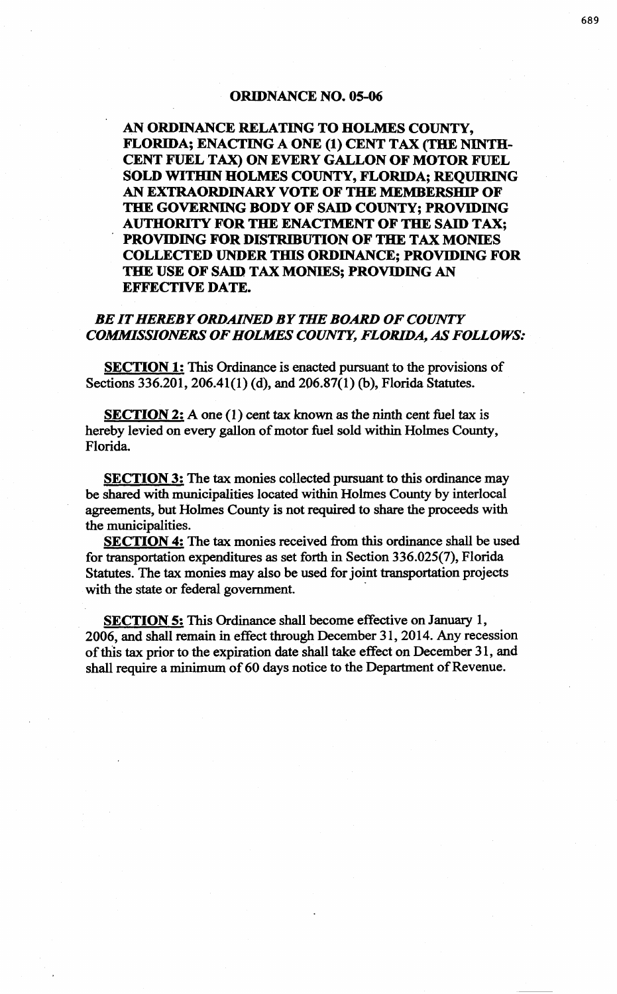## ORIDNANCE NO. OS-06

AN ORDINANCE RELATING TO HOLMES COUNTY, FLORIDA; ENACTING A ONE (1) CENT TAX (THE NINTH-CENT FUEL TAX) ON EVERY GALLON OF MOTOR FUEL SOLD WITHIN HOLMES COUNTY, FLORIDA; REQUIRING AN EXTRAORDINARY VOTE OF THE MEMBERSHIP OF THE GOVERNING BODY OF SAID COUNTY; PROVIDING AUTHORITY FOR THE ENACTMENT OF THE SAID TAX; PROVIDING FOR DISTRIBUTION OF THE TAX MONIES COLLECTED UNDER THIS ORDINANCE; PROVIDING FOR THE USE OF SAID TAX MONIES; PROVIDING AN EFFECTIVE DATE.

## *BE IT HEREBY ORDAINED BY THE BOARD OF COUNTY COMMISSIONERS OF HOLMES COUNTY, FLORIDA, AS FOLLOWS:*

SECTION 1: This Ordinance is enacted pursuant to the provisions of Sections 336.201, 206.41(1) (d), and 206.87(1) (b), Florida Statutes.

SECTION 2: A one (1) cent tax known as the ninth cent fuel tax is hereby levied on every gallon of motor fuel sold within Holmes County, Florida.

SECTION 3: The tax monies collected pursuant to this ordinance may be shared with municipalities located within Holmes County by interlocal agreements, but Holmes County is not required to share the proceeds with the municipalities.

SECTION 4: The tax monies received from this ordinance shall be used for transportation expenditures as set forth in Section 336.025(7), Florida Statutes. The tax monies may also be used for joint transportation projects with the state or federal government.

SECTION 5: This Ordinance shall become effective on January 1, 2006, and shall remain in effect through December 31, 2014. Any recession of this tax prior to the expiration date shall take effect on December 31, and shall require a minimum of 60 days notice to the Department of Revenue.